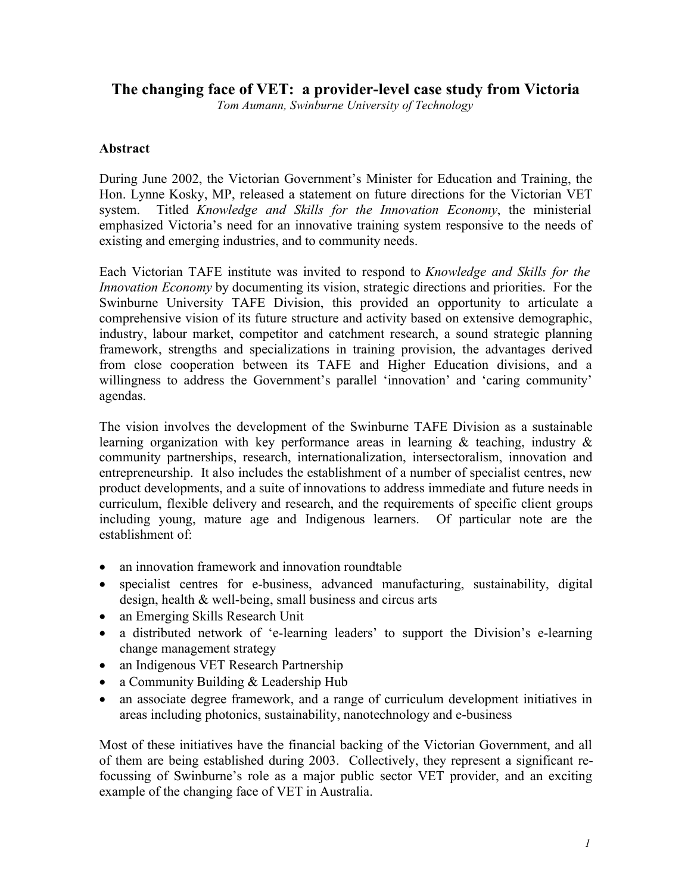# **The changing face of VET: a provider-level case study from Victoria**

*Tom Aumann, Swinburne University of Technology*

## **Abstract**

During June 2002, the Victorian Government's Minister for Education and Training, the Hon. Lynne Kosky, MP, released a statement on future directions for the Victorian VET system. Titled *Knowledge and Skills for the Innovation Economy*, the ministerial emphasized Victoria's need for an innovative training system responsive to the needs of existing and emerging industries, and to community needs.

Each Victorian TAFE institute was invited to respond to *Knowledge and Skills for the Innovation Economy* by documenting its vision, strategic directions and priorities. For the Swinburne University TAFE Division, this provided an opportunity to articulate a comprehensive vision of its future structure and activity based on extensive demographic, industry, labour market, competitor and catchment research, a sound strategic planning framework, strengths and specializations in training provision, the advantages derived from close cooperation between its TAFE and Higher Education divisions, and a willingness to address the Government's parallel 'innovation' and 'caring community' agendas.

The vision involves the development of the Swinburne TAFE Division as a sustainable learning organization with key performance areas in learning & teaching, industry & community partnerships, research, internationalization, intersectoralism, innovation and entrepreneurship. It also includes the establishment of a number of specialist centres, new product developments, and a suite of innovations to address immediate and future needs in curriculum, flexible delivery and research, and the requirements of specific client groups including young, mature age and Indigenous learners. Of particular note are the establishment of:

- an innovation framework and innovation roundtable
- specialist centres for e-business, advanced manufacturing, sustainability, digital design, health & well-being, small business and circus arts
- an Emerging Skills Research Unit
- a distributed network of 'e-learning leaders' to support the Division's e-learning change management strategy
- an Indigenous VET Research Partnership
- a Community Building & Leadership Hub
- an associate degree framework, and a range of curriculum development initiatives in areas including photonics, sustainability, nanotechnology and e-business

Most of these initiatives have the financial backing of the Victorian Government, and all of them are being established during 2003. Collectively, they represent a significant refocussing of Swinburne's role as a major public sector VET provider, and an exciting example of the changing face of VET in Australia.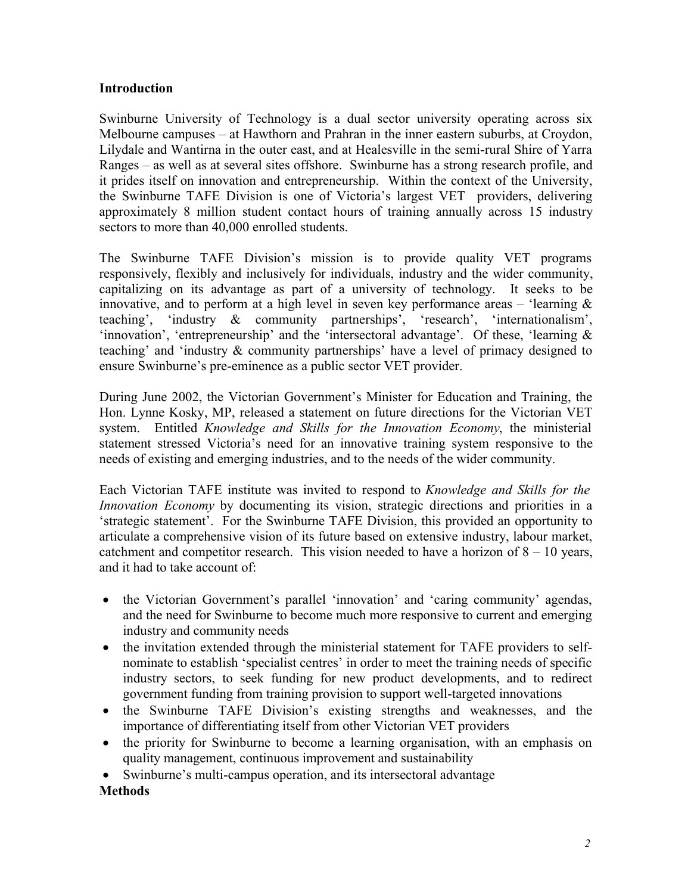#### **Introduction**

Swinburne University of Technology is a dual sector university operating across six Melbourne campuses – at Hawthorn and Prahran in the inner eastern suburbs, at Croydon, Lilydale and Wantirna in the outer east, and at Healesville in the semi-rural Shire of Yarra Ranges – as well as at several sites offshore. Swinburne has a strong research profile, and it prides itself on innovation and entrepreneurship. Within the context of the University, the Swinburne TAFE Division is one of Victoria's largest VET providers, delivering approximately 8 million student contact hours of training annually across 15 industry sectors to more than 40,000 enrolled students.

The Swinburne TAFE Division's mission is to provide quality VET programs responsively, flexibly and inclusively for individuals, industry and the wider community, capitalizing on its advantage as part of a university of technology. It seeks to be innovative, and to perform at a high level in seven key performance areas – 'learning  $\&$ teaching', 'industry & community partnerships', 'research', 'internationalism', 'innovation', 'entrepreneurship' and the 'intersectoral advantage'. Of these, 'learning & teaching' and 'industry & community partnerships' have a level of primacy designed to ensure Swinburne's pre-eminence as a public sector VET provider.

During June 2002, the Victorian Government's Minister for Education and Training, the Hon. Lynne Kosky, MP, released a statement on future directions for the Victorian VET system. Entitled *Knowledge and Skills for the Innovation Economy*, the ministerial statement stressed Victoria's need for an innovative training system responsive to the needs of existing and emerging industries, and to the needs of the wider community.

Each Victorian TAFE institute was invited to respond to *Knowledge and Skills for the Innovation Economy* by documenting its vision, strategic directions and priorities in a 'strategic statement'. For the Swinburne TAFE Division, this provided an opportunity to articulate a comprehensive vision of its future based on extensive industry, labour market, catchment and competitor research. This vision needed to have a horizon of  $8 - 10$  years, and it had to take account of:

- the Victorian Government's parallel 'innovation' and 'caring community' agendas, and the need for Swinburne to become much more responsive to current and emerging industry and community needs
- the invitation extended through the ministerial statement for TAFE providers to selfnominate to establish 'specialist centres' in order to meet the training needs of specific industry sectors, to seek funding for new product developments, and to redirect government funding from training provision to support well-targeted innovations
- the Swinburne TAFE Division's existing strengths and weaknesses, and the importance of differentiating itself from other Victorian VET providers
- the priority for Swinburne to become a learning organisation, with an emphasis on quality management, continuous improvement and sustainability
- Swinburne's multi-campus operation, and its intersectoral advantage

## **Methods**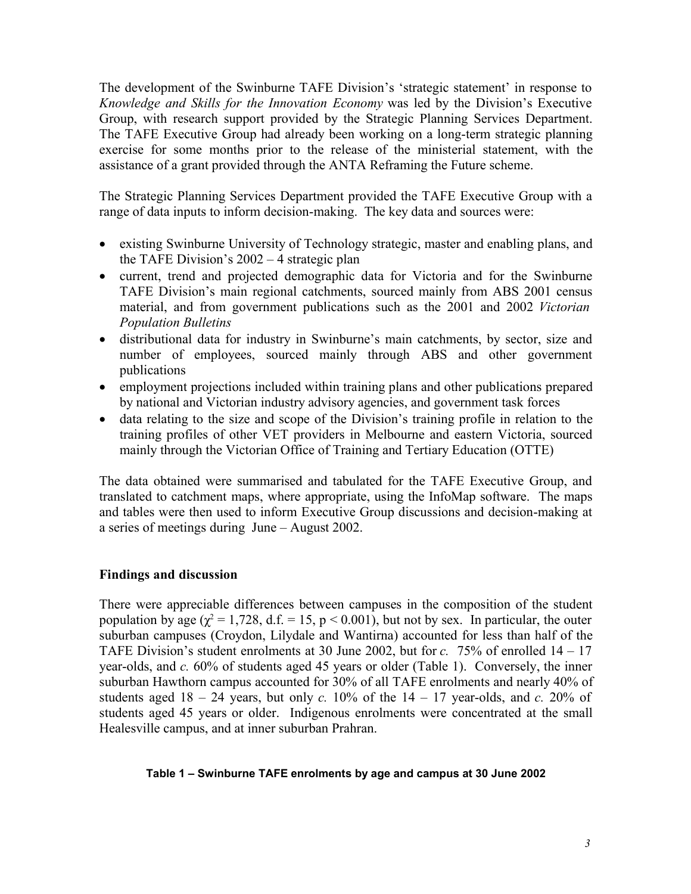The development of the Swinburne TAFE Division's 'strategic statement' in response to *Knowledge and Skills for the Innovation Economy* was led by the Division's Executive Group, with research support provided by the Strategic Planning Services Department. The TAFE Executive Group had already been working on a long-term strategic planning exercise for some months prior to the release of the ministerial statement, with the assistance of a grant provided through the ANTA Reframing the Future scheme.

The Strategic Planning Services Department provided the TAFE Executive Group with a range of data inputs to inform decision-making. The key data and sources were:

- existing Swinburne University of Technology strategic, master and enabling plans, and the TAFE Division's 2002 – 4 strategic plan
- current, trend and projected demographic data for Victoria and for the Swinburne TAFE Division's main regional catchments, sourced mainly from ABS 2001 census material, and from government publications such as the 2001 and 2002 *Victorian Population Bulletins*
- distributional data for industry in Swinburne's main catchments, by sector, size and number of employees, sourced mainly through ABS and other government publications
- employment projections included within training plans and other publications prepared by national and Victorian industry advisory agencies, and government task forces
- data relating to the size and scope of the Division's training profile in relation to the training profiles of other VET providers in Melbourne and eastern Victoria, sourced mainly through the Victorian Office of Training and Tertiary Education (OTTE)

The data obtained were summarised and tabulated for the TAFE Executive Group, and translated to catchment maps, where appropriate, using the InfoMap software. The maps and tables were then used to inform Executive Group discussions and decision-making at a series of meetings during June – August 2002.

## **Findings and discussion**

There were appreciable differences between campuses in the composition of the student population by age ( $\chi^2 = 1,728$ , d.f. = 15, p < 0.001), but not by sex. In particular, the outer suburban campuses (Croydon, Lilydale and Wantirna) accounted for less than half of the TAFE Division's student enrolments at 30 June 2002, but for *c.* 75% of enrolled 14 – 17 year-olds, and *c.* 60% of students aged 45 years or older (Table 1). Conversely, the inner suburban Hawthorn campus accounted for 30% of all TAFE enrolments and nearly 40% of students aged  $18 - 24$  years, but only *c*. 10% of the  $14 - 17$  year-olds, and *c*. 20% of students aged 45 years or older. Indigenous enrolments were concentrated at the small Healesville campus, and at inner suburban Prahran.

#### **Table 1 – Swinburne TAFE enrolments by age and campus at 30 June 2002**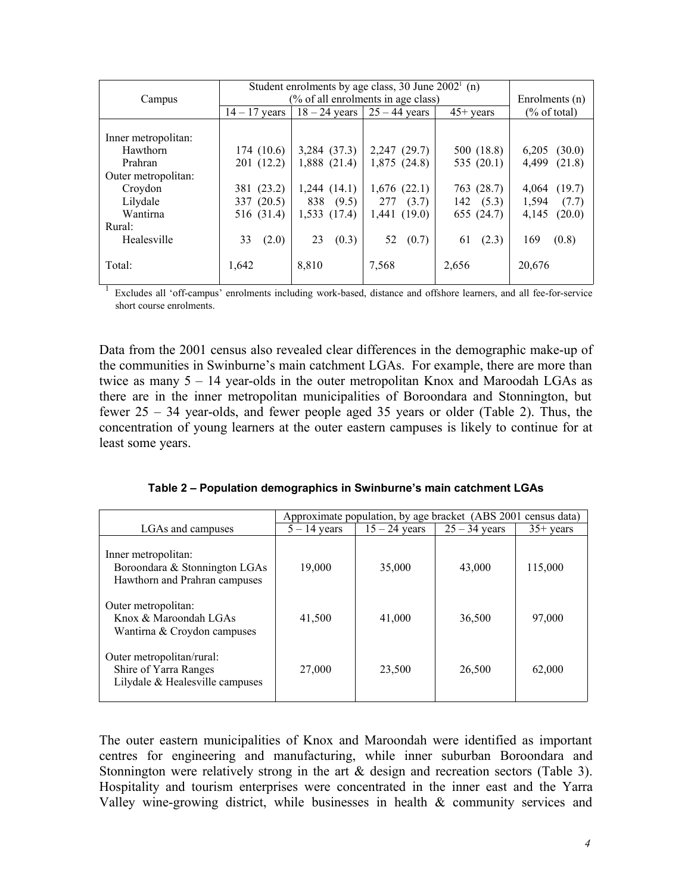|                     | Student enrolments by age class, 30 June $20021$ (n) |                 |                 |                   |                         |
|---------------------|------------------------------------------------------|-----------------|-----------------|-------------------|-------------------------|
| Campus              | (% of all enrolments in age class)                   | Enrolments (n)  |                 |                   |                         |
|                     | $14 - 17$ years                                      | $18 - 24$ years | $25 - 44$ years | $45+$ years       | $\frac{6}{6}$ of total) |
|                     |                                                      |                 |                 |                   |                         |
| Inner metropolitan: |                                                      |                 |                 |                   |                         |
| Hawthorn            | 174(10.6)                                            | 3,284 (37.3)    | $2,247$ (29.7)  | 500 (18.8)        | 6,205<br>(30.0)         |
| Prahran             | 201 (12.2)                                           | 1,888(21.4)     | 1,875(24.8)     | 535 $(20.1)$      | 4.499<br>(21.8)         |
| Outer metropolitan: |                                                      |                 |                 |                   |                         |
| Croydon             | 381 (23.2)                                           | 1,244(14.1)     | 1,676(22.1)     | 763 (28.7)        | (19.7)<br>4,064         |
| Lilydale            | 337 (20.5)                                           | 838<br>(9.5)    | 277<br>(3.7)    | $142 \quad (5.3)$ | 1,594<br>(7.7)          |
| Wantirna            | 516 (31.4)                                           | 1,533(17.4)     | 1,441(19.0)     | 655 (24.7)        | 4,145<br>(20.0)         |
| Rural:              |                                                      |                 |                 |                   |                         |
| Healesville         | 33<br>(2.0)                                          | 23<br>(0.3)     | 52<br>(0.7)     | 61<br>(2.3)       | 169<br>(0.8)            |
|                     |                                                      |                 |                 |                   |                         |
| Total:              | 1,642                                                | 8,810           | 7,568           | 2,656             | 20,676                  |
|                     |                                                      |                 |                 |                   |                         |

1 Excludes all 'off-campus' enrolments including work-based, distance and offshore learners, and all fee-for-service short course enrolments.

Data from the 2001 census also revealed clear differences in the demographic make-up of the communities in Swinburne's main catchment LGAs. For example, there are more than twice as many 5 – 14 year-olds in the outer metropolitan Knox and Maroodah LGAs as there are in the inner metropolitan municipalities of Boroondara and Stonnington, but fewer 25 – 34 year-olds, and fewer people aged 35 years or older (Table 2). Thus, the concentration of young learners at the outer eastern campuses is likely to continue for at least some years.

**Table 2 – Population demographics in Swinburne's main catchment LGAs**

|                                                                                       | Approximate population, by age bracket (ABS 2001 census data) |                 |                 |             |  |
|---------------------------------------------------------------------------------------|---------------------------------------------------------------|-----------------|-----------------|-------------|--|
| LGAs and campuses                                                                     | $5 - 14$ years                                                | $15 - 24$ years | $25 - 34$ years | $35+$ years |  |
| Inner metropolitan:<br>Boroondara & Stonnington LGAs<br>Hawthorn and Prahran campuses | 19,000                                                        | 35,000          | 43,000          | 115,000     |  |
| Outer metropolitan:<br>Knox & Maroondah LGAs<br>Wantirna & Croydon campuses           | 41,500                                                        | 41,000          | 36,500          | 97,000      |  |
| Outer metropolitan/rural:<br>Shire of Yarra Ranges<br>Lilydale & Healesville campuses | 27,000                                                        | 23,500          | 26,500          | 62,000      |  |

The outer eastern municipalities of Knox and Maroondah were identified as important centres for engineering and manufacturing, while inner suburban Boroondara and Stonnington were relatively strong in the art & design and recreation sectors (Table 3). Hospitality and tourism enterprises were concentrated in the inner east and the Yarra Valley wine-growing district, while businesses in health & community services and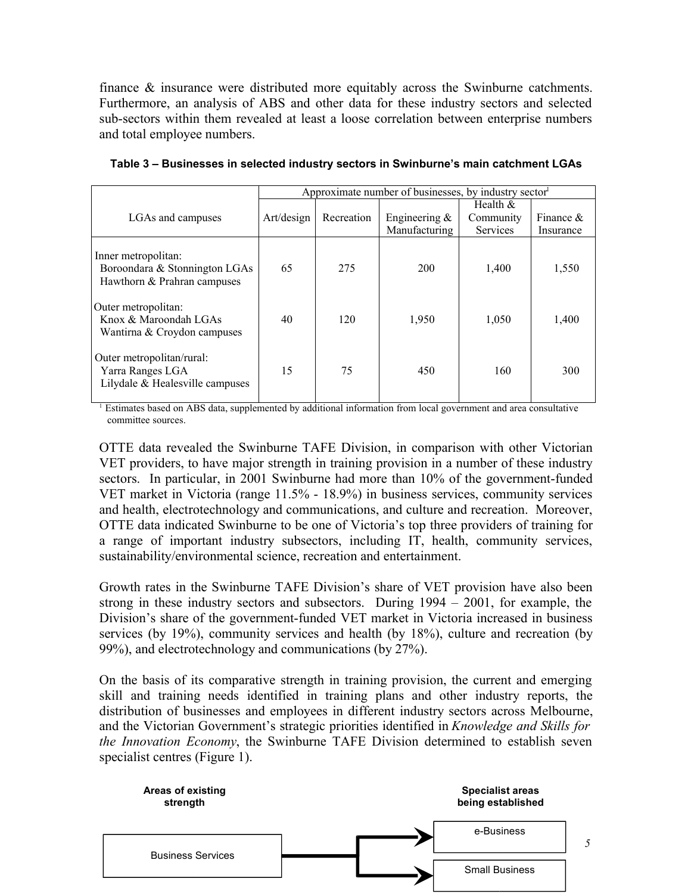finance & insurance were distributed more equitably across the Swinburne catchments. Furthermore, an analysis of ABS and other data for these industry sectors and selected sub-sectors within them revealed at least a loose correlation between enterprise numbers and total employee numbers.

|                                                                                     | Approximate number of businesses, by industry sector |            |                                   |                                            |                           |
|-------------------------------------------------------------------------------------|------------------------------------------------------|------------|-----------------------------------|--------------------------------------------|---------------------------|
| LGAs and campuses                                                                   | Art/design                                           | Recreation | Engineering $\&$<br>Manufacturing | Health $&$<br>Community<br><b>Services</b> | Finance $\&$<br>Insurance |
| Inner metropolitan:<br>Boroondara & Stonnington LGAs<br>Hawthorn & Prahran campuses | 65                                                   | 275        | 200                               | 1,400                                      | 1,550                     |
| Outer metropolitan:<br>Knox & Maroondah LGAs<br>Wantirna & Croydon campuses         | 40                                                   | 120        | 1,950                             | 1,050                                      | 1,400                     |
| Outer metropolitan/rural:<br>Yarra Ranges LGA<br>Lilydale $&$ Healesville campuses  | 15                                                   | 75         | 450                               | 160                                        | 300                       |

**Table 3 – Businesses in selected industry sectors in Swinburne's main catchment LGAs**

<sup>1</sup> Estimates based on ABS data, supplemented by additional information from local government and area consultative committee sources.

OTTE data revealed the Swinburne TAFE Division, in comparison with other Victorian VET providers, to have major strength in training provision in a number of these industry sectors. In particular, in 2001 Swinburne had more than 10% of the government-funded VET market in Victoria (range 11.5% - 18.9%) in business services, community services and health, electrotechnology and communications, and culture and recreation. Moreover, OTTE data indicated Swinburne to be one of Victoria's top three providers of training for a range of important industry subsectors, including IT, health, community services, sustainability/environmental science, recreation and entertainment.

Growth rates in the Swinburne TAFE Division's share of VET provision have also been strong in these industry sectors and subsectors. During 1994 – 2001, for example, the Division's share of the government-funded VET market in Victoria increased in business services (by 19%), community services and health (by 18%), culture and recreation (by 99%), and electrotechnology and communications (by 27%).

On the basis of its comparative strength in training provision, the current and emerging skill and training needs identified in training plans and other industry reports, the distribution of businesses and employees in different industry sectors across Melbourne, and the Victorian Government's strategic priorities identified in *Knowledge and Skills for the Innovation Economy*, the Swinburne TAFE Division determined to establish seven specialist centres (Figure 1).

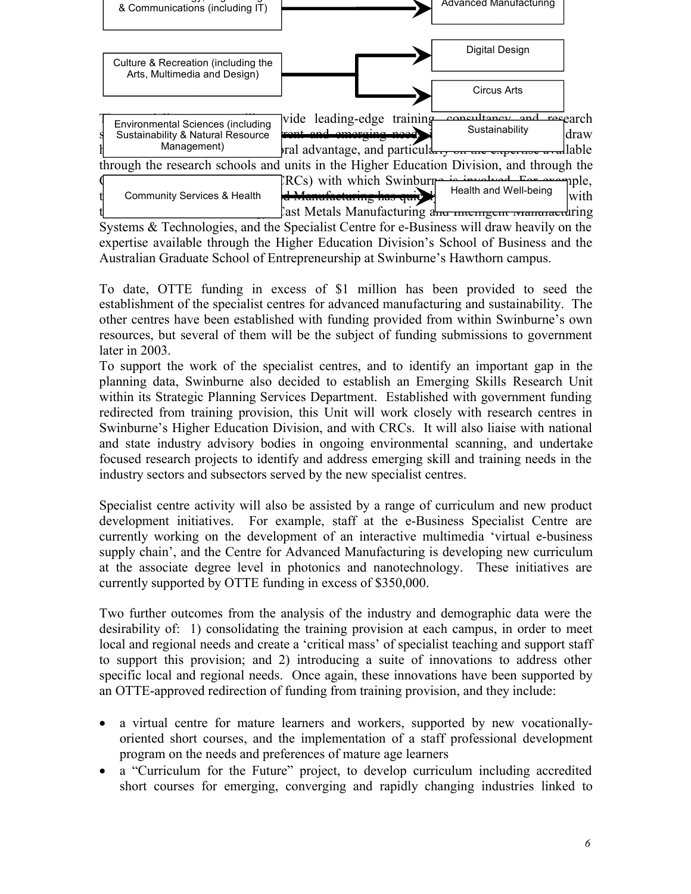

expertise available through the Higher Education Division's School of Business and the Australian Graduate School of Entrepreneurship at Swinburne's Hawthorn campus.

To date, OTTE funding in excess of \$1 million has been provided to seed the establishment of the specialist centres for advanced manufacturing and sustainability. The other centres have been established with funding provided from within Swinburne's own resources, but several of them will be the subject of funding submissions to government later in 2003.

To support the work of the specialist centres, and to identify an important gap in the planning data, Swinburne also decided to establish an Emerging Skills Research Unit within its Strategic Planning Services Department. Established with government funding redirected from training provision, this Unit will work closely with research centres in Swinburne's Higher Education Division, and with CRCs. It will also liaise with national and state industry advisory bodies in ongoing environmental scanning, and undertake focused research projects to identify and address emerging skill and training needs in the industry sectors and subsectors served by the new specialist centres.

Specialist centre activity will also be assisted by a range of curriculum and new product development initiatives. For example, staff at the e-Business Specialist Centre are currently working on the development of an interactive multimedia 'virtual e-business supply chain', and the Centre for Advanced Manufacturing is developing new curriculum at the associate degree level in photonics and nanotechnology. These initiatives are currently supported by OTTE funding in excess of \$350,000.

Two further outcomes from the analysis of the industry and demographic data were the desirability of: 1) consolidating the training provision at each campus, in order to meet local and regional needs and create a 'critical mass' of specialist teaching and support staff to support this provision; and 2) introducing a suite of innovations to address other specific local and regional needs. Once again, these innovations have been supported by an OTTE-approved redirection of funding from training provision, and they include:

- a virtual centre for mature learners and workers, supported by new vocationallyoriented short courses, and the implementation of a staff professional development program on the needs and preferences of mature age learners
- a "Curriculum for the Future" project, to develop curriculum including accredited short courses for emerging, converging and rapidly changing industries linked to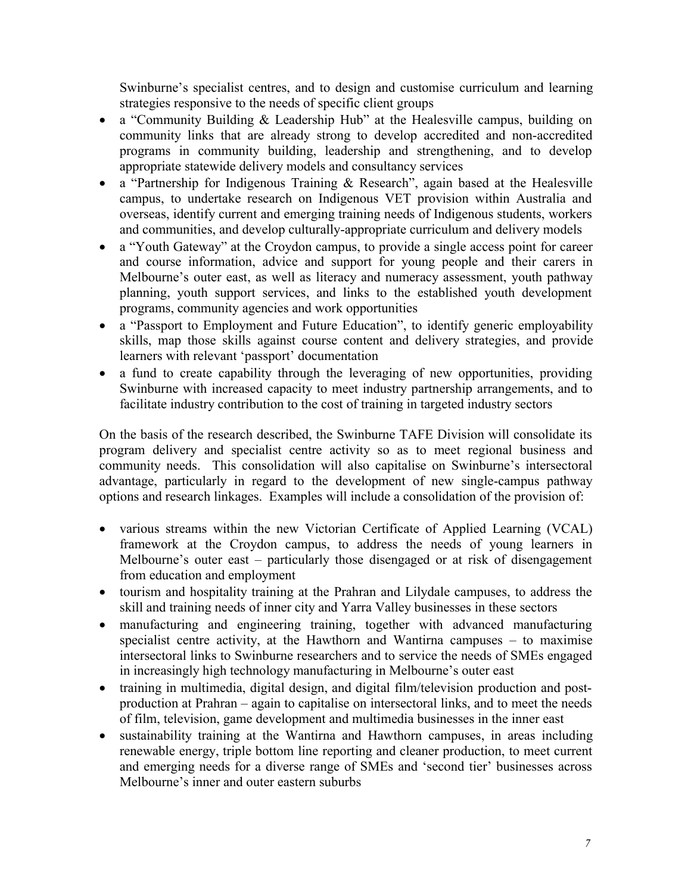Swinburne's specialist centres, and to design and customise curriculum and learning strategies responsive to the needs of specific client groups

- a "Community Building & Leadership Hub" at the Healesville campus, building on community links that are already strong to develop accredited and non-accredited programs in community building, leadership and strengthening, and to develop appropriate statewide delivery models and consultancy services
- a "Partnership for Indigenous Training & Research", again based at the Healesville campus, to undertake research on Indigenous VET provision within Australia and overseas, identify current and emerging training needs of Indigenous students, workers and communities, and develop culturally-appropriate curriculum and delivery models
- a "Youth Gateway" at the Croydon campus, to provide a single access point for career and course information, advice and support for young people and their carers in Melbourne's outer east, as well as literacy and numeracy assessment, youth pathway planning, youth support services, and links to the established youth development programs, community agencies and work opportunities
- a "Passport to Employment and Future Education", to identify generic employability skills, map those skills against course content and delivery strategies, and provide learners with relevant 'passport' documentation
- a fund to create capability through the leveraging of new opportunities, providing Swinburne with increased capacity to meet industry partnership arrangements, and to facilitate industry contribution to the cost of training in targeted industry sectors

On the basis of the research described, the Swinburne TAFE Division will consolidate its program delivery and specialist centre activity so as to meet regional business and community needs. This consolidation will also capitalise on Swinburne's intersectoral advantage, particularly in regard to the development of new single-campus pathway options and research linkages. Examples will include a consolidation of the provision of:

- various streams within the new Victorian Certificate of Applied Learning (VCAL) framework at the Croydon campus, to address the needs of young learners in Melbourne's outer east – particularly those disengaged or at risk of disengagement from education and employment
- tourism and hospitality training at the Prahran and Lilydale campuses, to address the skill and training needs of inner city and Yarra Valley businesses in these sectors
- manufacturing and engineering training, together with advanced manufacturing specialist centre activity, at the Hawthorn and Wantirna campuses – to maximise intersectoral links to Swinburne researchers and to service the needs of SMEs engaged in increasingly high technology manufacturing in Melbourne's outer east
- training in multimedia, digital design, and digital film/television production and postproduction at Prahran – again to capitalise on intersectoral links, and to meet the needs of film, television, game development and multimedia businesses in the inner east
- sustainability training at the Wantirna and Hawthorn campuses, in areas including renewable energy, triple bottom line reporting and cleaner production, to meet current and emerging needs for a diverse range of SMEs and 'second tier' businesses across Melbourne's inner and outer eastern suburbs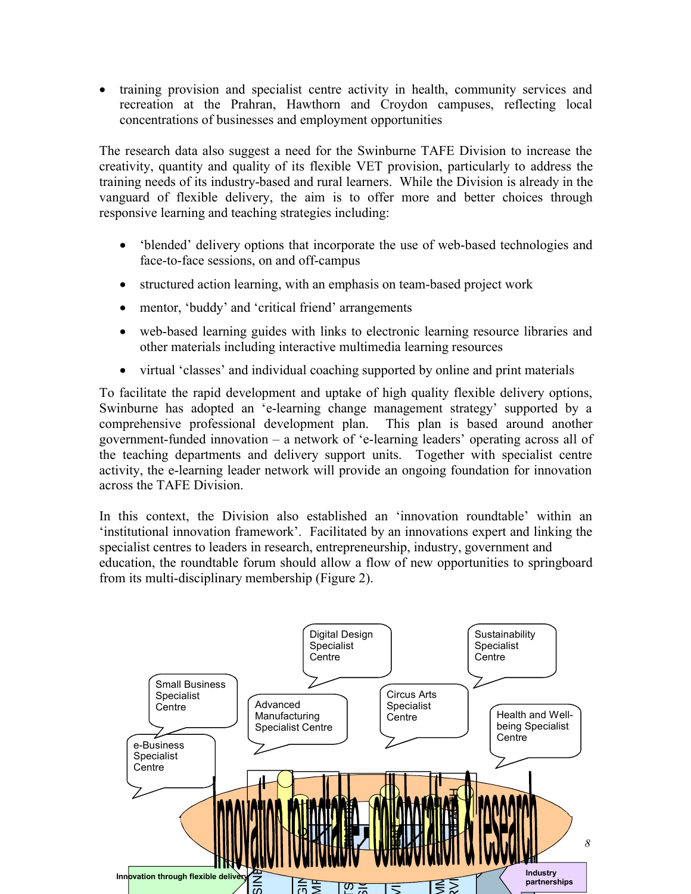training provision and specialist centre activity in health, community services and recreation at the Prahran, Hawthorn and Croydon campuses, reflecting local concentrations of businesses and employment opportunities

The research data also suggest a need for the Swinburne TAFE Division to increase the creativity, quantity and quality of its flexible VET provision, particularly to address the training needs of its industry-based and rural learners. While the Division is already in the vanguard of flexible delivery, the aim is to offer more and better choices through responsive learning and teaching strategies including:

- 'blended' delivery options that incorporate the use of web-based technologies and face-to-face sessions, on and off-campus
- structured action learning, with an emphasis on team-based project work
- mentor, 'buddy' and 'critical friend' arrangements
- web-based learning guides with links to electronic learning resource libraries and other materials including interactive multimedia learning resources
- virtual 'classes' and individual coaching supported by online and print materials

To facilitate the rapid development and uptake of high quality flexible delivery options, Swinburne has adopted an 'e-learning change management strategy' supported by a comprehensive professional development plan. This plan is based around another government-funded innovation – a network of 'e-learning leaders' operating across all of the teaching departments and delivery support units. Together with specialist centre activity, the e-learning leader network will provide an ongoing foundation for innovation across the TAFE Division.

In this context, the Division also established an 'innovation roundtable' within an 'institutional innovation framework'. Facilitated by an innovations expert and linking the specialist centres to leaders in research, entrepreneurship, industry, government and education, the roundtable forum should allow a flow of new opportunities to springboard from its multi-disciplinary membership (Figure 2).